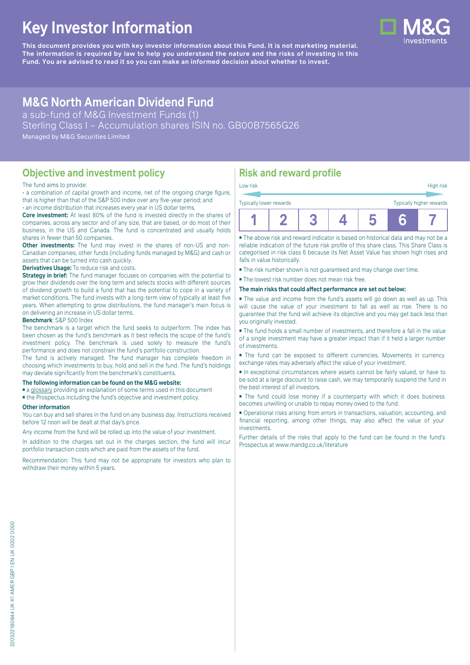# **Key Investor Information**

**This document provides you with key investor information about this Fund. It is not marketing material.** The information is required by law to help you understand the nature and the risks of investing in this **Fund. You are advised to read it so you can make an informed decision about whether to invest.**



# **M&G North American Dividend Fund**

a sub-fund of M&G Investment Funds (1)

Sterling Class I – Accumulation shares ISIN no. GB00B7565G26

Managed by M&G Securities Limited

# **Objective and investment policy**

#### The fund aims to provide:

• a combination of capital growth and income, net of the ongoing charge figure, that is higher than that of the S&P 500 Index over any five-year period; and • an income distribution that increases every year in US dollar terms.

**Core investment:** At least 80% of the fund is invested directly in the shares of companies, across any sector and of any size, that are based, or do most of their business, in the US and Canada. The fund is concentrated and usually holds shares in fewer than 50 companies.

**Other investments:** The fund may invest in the shares of non-US and non-Canadian companies, other funds (including funds managed by M&G) and cash or assets that can be turned into cash quickly.

#### **Derivatives Usage:** To reduce risk and costs.

**Strategy in brief:** The fund manager focuses on companies with the potential to grow their dividends over the long term and selects stocks with different sources of dividend growth to build a fund that has the potential to cope in a variety of market conditions. The fund invests with a long-term view of typically at least five years. When attempting to grow distributions, the fund manager's main focus is on delivering an increase in US dollar terms.

#### **Benchmark**: S&P 500 Index

The benchmark is a target which the fund seeks to outperform. The index has been chosen as the fund's benchmark as it best reflects the scope of the fund's investment policy. The benchmark is used solely to measure the fund's performance and does not constrain the fund's portfolio construction.

The fund is actively managed. The fund manager has complete freedom in choosing which investments to buy, hold and sell in the fund. The fund's holdings may deviate significantly from the benchmark's constituents.

#### **The following information can be found on the M&G website:**

- [a glossary](https://docs.mandg.com/docs/glossary-master-en.pdf) providing an explanation of some terms used in this document
- the Prospectus including the fund's objective and investment policy.

#### **Other information**

You can buy and sell shares in the fund on any business day. Instructions received before 12 noon will be dealt at that day's price.

Any income from the fund will be rolled up into the value of your investment.

In addition to the charges set out in the charges section, the fund will incur portfolio transaction costs which are paid from the assets of the fund.

Recommendation: This fund may not be appropriate for investors who plan to withdraw their money within 5 years.

# **Risk and reward profile**

| Low risk                                            |  |  |  |  |    | High risk |
|-----------------------------------------------------|--|--|--|--|----|-----------|
| Typically higher rewards<br>Typically lower rewards |  |  |  |  |    |           |
|                                                     |  |  |  |  | 'N |           |

■ The above risk and reward indicator is based on historical data and may not be a reliable indication of the future risk profile of this share class. This Share Class is categorised in risk class 6 because its Net Asset Value has shown high rises and falls in value historically.

- The risk number shown is not guaranteed and may change over time.
- The lowest risk number does not mean risk free.

#### **The main risks that could affect performance are set out below:**

■ The value and income from the fund's assets will go down as well as up. This will cause the value of your investment to fall as well as rise. There is no guarantee that the fund will achieve its objective and you may get back less than you originally invested.

■ The fund holds a small number of investments, and therefore a fall in the value of a single investment may have a greater impact than if it held a larger number of investments.

■ The fund can be exposed to different currencies. Movements in currency exchange rates may adversely affect the value of your investment.

■ In exceptional circumstances where assets cannot be fairly valued, or have to be sold at a large discount to raise cash, we may temporarily suspend the fund in the best interest of all investors.

■ The fund could lose money if a counterparty with which it does business becomes unwilling or unable to repay money owed to the fund.

■ Operational risks arising from errors in transactions, valuation, accounting, and financial reporting, among other things, may also affect the value of your investments.

Further details of the risks that apply to the fund can be found in the fund's Prospectus at [www.mandg.co.uk/literature](http://www.mandg.co.uk/literature)